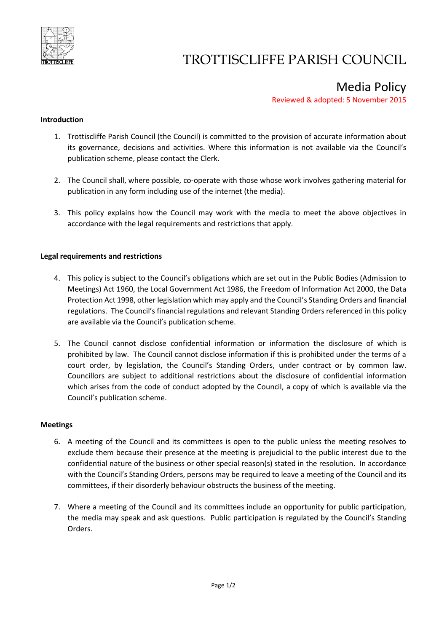

# TROTTISCLIFFE PARISH COUNCIL

Media Policy

Reviewed & adopted: 5 November 2015

### **Introduction**

- 1. Trottiscliffe Parish Council (the Council) is committed to the provision of accurate information about its governance, decisions and activities. Where this information is not available via the Council's publication scheme, please contact the Clerk.
- 2. The Council shall, where possible, co-operate with those whose work involves gathering material for publication in any form including use of the internet (the media).
- 3. This policy explains how the Council may work with the media to meet the above objectives in accordance with the legal requirements and restrictions that apply.

### **Legal requirements and restrictions**

- 4. This policy is subject to the Council's obligations which are set out in the Public Bodies (Admission to Meetings) Act 1960, the Local Government Act 1986, the Freedom of Information Act 2000, the Data Protection Act 1998, other legislation which may apply and the Council's Standing Orders and financial regulations. The Council's financial regulations and relevant Standing Orders referenced in this policy are available via the Council's publication scheme.
- 5. The Council cannot disclose confidential information or information the disclosure of which is prohibited by law. The Council cannot disclose information if this is prohibited under the terms of a court order, by legislation, the Council's Standing Orders, under contract or by common law. Councillors are subject to additional restrictions about the disclosure of confidential information which arises from the code of conduct adopted by the Council, a copy of which is available via the Council's publication scheme.

#### **Meetings**

- 6. A meeting of the Council and its committees is open to the public unless the meeting resolves to exclude them because their presence at the meeting is prejudicial to the public interest due to the confidential nature of the business or other special reason(s) stated in the resolution. In accordance with the Council's Standing Orders, persons may be required to leave a meeting of the Council and its committees, if their disorderly behaviour obstructs the business of the meeting.
- 7. Where a meeting of the Council and its committees include an opportunity for public participation, the media may speak and ask questions. Public participation is regulated by the Council's Standing Orders.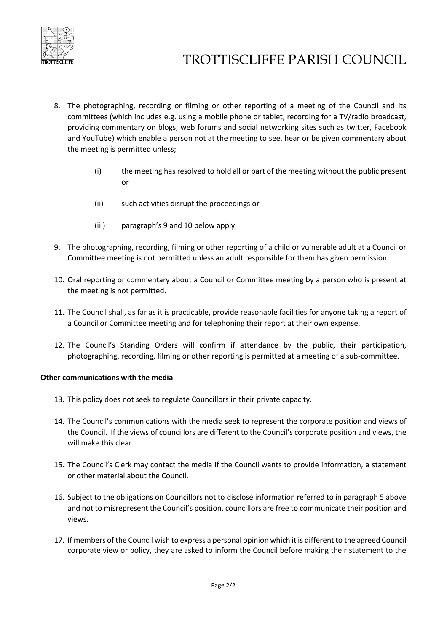

# TROTTISCLIFFE PARISH COUNCIL

- 8. The photographing, recording or filming or other reporting of a meeting of the Council and its committees (which includes e.g. using a mobile phone or tablet, recording for a TV/radio broadcast, providing commentary on blogs, web forums and social networking sites such as twitter, Facebook and YouTube) which enable a person not at the meeting to see, hear or be given commentary about the meeting is permitted unless;
	- (i) the meeting has resolved to hold all or part of the meeting without the public present or
	- (ii) such activities disrupt the proceedings or
	- (iii) paragraph's 9 and 10 below apply.
- 9. The photographing, recording, filming or other reporting of a child or vulnerable adult at a Council or Committee meeting is not permitted unless an adult responsible for them has given permission.
- 10. Oral reporting or commentary about a Council or Committee meeting by a person who is present at the meeting is not permitted.
- 11. The Council shall, as far as it is practicable, provide reasonable facilities for anyone taking a report of a Council or Committee meeting and for telephoning their report at their own expense.
- 12. The Council's Standing Orders will confirm if attendance by the public, their participation, photographing, recording, filming or other reporting is permitted at a meeting of a sub-committee.

## **Other communications with the media**

- 13. This policy does not seek to regulate Councillors in their private capacity.
- 14. The Council's communications with the media seek to represent the corporate position and views of the Council. If the views of councillors are different to the Council's corporate position and views, the will make this clear.
- 15. The Council's Clerk may contact the media if the Council wants to provide information, a statement or other material about the Council.
- 16. Subject to the obligations on Councillors not to disclose information referred to in paragraph 5 above and not to misrepresent the Council's position, councillors are free to communicate their position and views.
- 17. If members of the Council wish to express a personal opinion which it is different to the agreed Council corporate view or policy, they are asked to inform the Council before making their statement to the